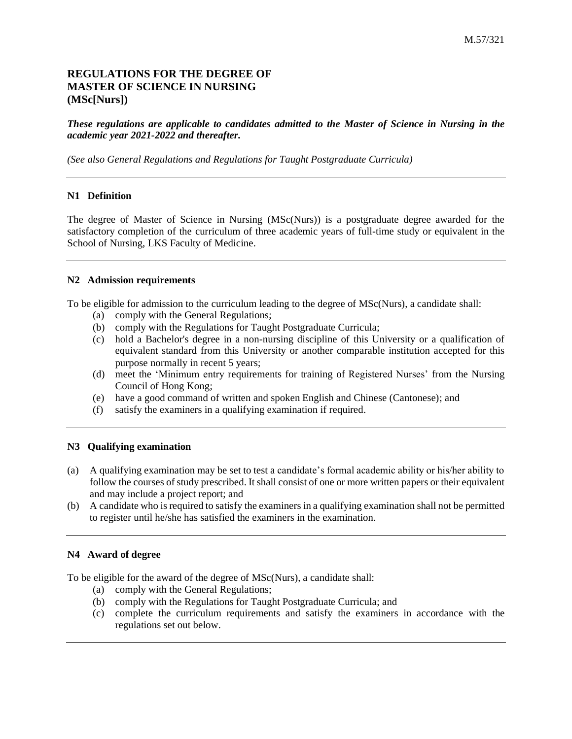# **REGULATIONS FOR THE DEGREE OF MASTER OF SCIENCE IN NURSING (MSc[Nurs])**

#### *These regulations are applicable to candidates admitted to the Master of Science in Nursing in the academic year 2021-2022 and thereafter.*

*(See also General Regulations and Regulations for Taught Postgraduate Curricula)*

#### **N1 Definition**

The degree of Master of Science in Nursing (MSc(Nurs)) is a postgraduate degree awarded for the satisfactory completion of the curriculum of three academic years of full-time study or equivalent in the School of Nursing, LKS Faculty of Medicine.

#### **N2 Admission requirements**

To be eligible for admission to the curriculum leading to the degree of MSc(Nurs), a candidate shall:

- (a) comply with the General Regulations;
- (b) comply with the Regulations for Taught Postgraduate Curricula;
- (c) hold a Bachelor's degree in a non-nursing discipline of this University or a qualification of equivalent standard from this University or another comparable institution accepted for this purpose normally in recent 5 years;
- (d) meet the 'Minimum entry requirements for training of Registered Nurses' from the Nursing Council of Hong Kong;
- (e) have a good command of written and spoken English and Chinese (Cantonese); and
- (f) satisfy the examiners in a qualifying examination if required.

#### **N3 Qualifying examination**

- (a) A qualifying examination may be set to test a candidate's formal academic ability or his/her ability to follow the courses of study prescribed. It shall consist of one or more written papers or their equivalent and may include a project report; and
- (b) A candidate who is required to satisfy the examiners in a qualifying examination shall not be permitted to register until he/she has satisfied the examiners in the examination.

## **N4 Award of degree**

To be eligible for the award of the degree of MSc(Nurs), a candidate shall:

- (a) comply with the General Regulations;
- (b) comply with the Regulations for Taught Postgraduate Curricula; and
- (c) complete the curriculum requirements and satisfy the examiners in accordance with the regulations set out below.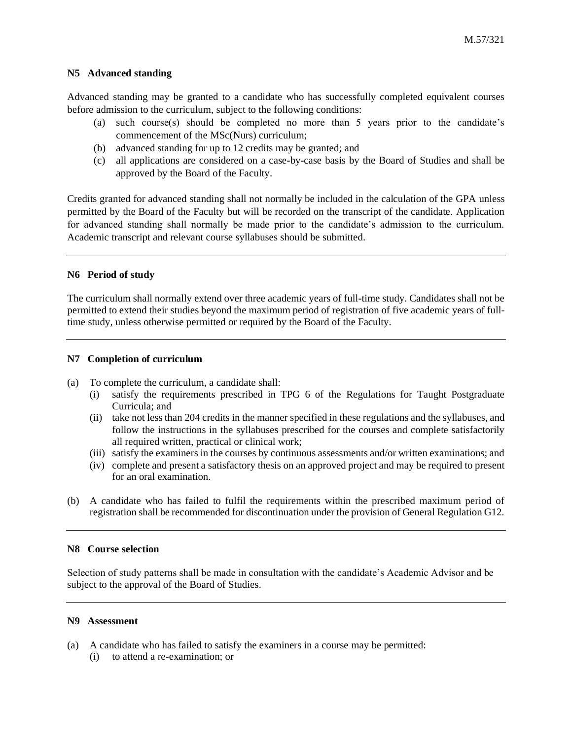#### **N5 Advanced standing**

Advanced standing may be granted to a candidate who has successfully completed equivalent courses before admission to the curriculum, subject to the following conditions:

- (a) such course(s) should be completed no more than 5 years prior to the candidate's commencement of the MSc(Nurs) curriculum;
- (b) advanced standing for up to 12 credits may be granted; and
- (c) all applications are considered on a case-by-case basis by the Board of Studies and shall be approved by the Board of the Faculty.

Credits granted for advanced standing shall not normally be included in the calculation of the GPA unless permitted by the Board of the Faculty but will be recorded on the transcript of the candidate. Application for advanced standing shall normally be made prior to the candidate's admission to the curriculum. Academic transcript and relevant course syllabuses should be submitted.

#### **N6 Period of study**

The curriculum shall normally extend over three academic years of full-time study. Candidates shall not be permitted to extend their studies beyond the maximum period of registration of five academic years of fulltime study, unless otherwise permitted or required by the Board of the Faculty.

#### **N7 Completion of curriculum**

- (a) To complete the curriculum, a candidate shall:
	- (i) satisfy the requirements prescribed in TPG 6 of the Regulations for Taught Postgraduate Curricula; and
	- (ii) take not less than 204 credits in the manner specified in these regulations and the syllabuses, and follow the instructions in the syllabuses prescribed for the courses and complete satisfactorily all required written, practical or clinical work;
	- (iii) satisfy the examiners in the courses by continuous assessments and/or written examinations; and
	- (iv) complete and present a satisfactory thesis on an approved project and may be required to present for an oral examination.
- (b) A candidate who has failed to fulfil the requirements within the prescribed maximum period of registration shall be recommended for discontinuation under the provision of General Regulation G12.

#### **N8 Course selection**

Selection of study patterns shall be made in consultation with the candidate's Academic Advisor and be subject to the approval of the Board of Studies.

#### **N9 Assessment**

(a) A candidate who has failed to satisfy the examiners in a course may be permitted: (i) to attend a re-examination; or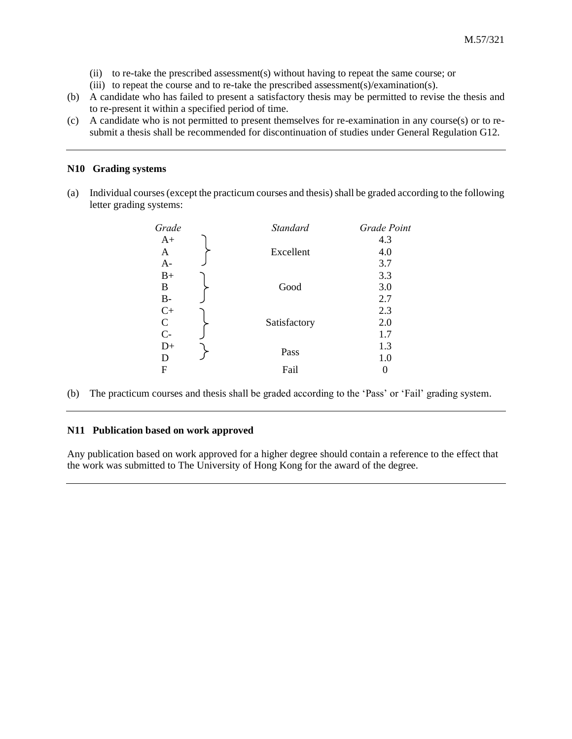- (ii) to re-take the prescribed assessment(s) without having to repeat the same course; or
- (iii) to repeat the course and to re-take the prescribed assessment(s)/examination(s).
- (b) A candidate who has failed to present a satisfactory thesis may be permitted to revise the thesis and to re-present it within a specified period of time.
- (c) A candidate who is not permitted to present themselves for re-examination in any course(s) or to resubmit a thesis shall be recommended for discontinuation of studies under General Regulation G12.

# **N10 Grading systems**

(a) Individual courses (except the practicum courses and thesis) shall be graded according to the following letter grading systems:

| Grade         | <b>Standard</b> | Grade Point |
|---------------|-----------------|-------------|
| $A+$          |                 | 4.3         |
| A             | Excellent       | 4.0         |
| $A-$          |                 | 3.7         |
| $B+$          |                 | 3.3         |
| B             | Good            | 3.0         |
| $B-$          |                 | 2.7         |
| $C+$          |                 | 2.3         |
| $\mathcal{C}$ | Satisfactory    | 2.0         |
| $C-$          |                 | 1.7         |
| $D+$          |                 | 1.3         |
| D             | Pass            | 1.0         |
| F             | Fail            |             |
|               |                 |             |

(b) The practicum courses and thesis shall be graded according to the 'Pass' or 'Fail' grading system.

#### **N11 Publication based on work approved**

Any publication based on work approved for a higher degree should contain a reference to the effect that the work was submitted to The University of Hong Kong for the award of the degree.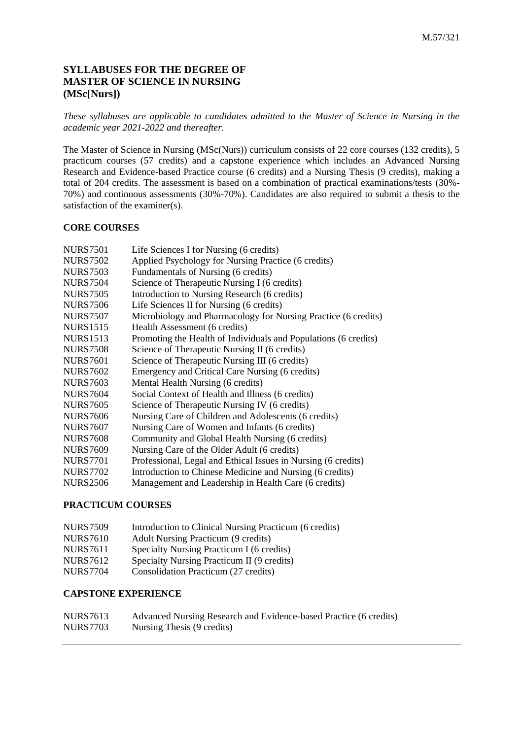# **SYLLABUSES FOR THE DEGREE OF MASTER OF SCIENCE IN NURSING (MSc[Nurs])**

*These syllabuses are applicable to candidates admitted to the Master of Science in Nursing in the academic year 2021-2022 and thereafter.*

The Master of Science in Nursing (MSc(Nurs)) curriculum consists of 22 core courses (132 credits), 5 practicum courses (57 credits) and a capstone experience which includes an Advanced Nursing Research and Evidence-based Practice course (6 credits) and a Nursing Thesis (9 credits), making a total of 204 credits. The assessment is based on a combination of practical examinations/tests (30%- 70%) and continuous assessments (30%-70%). Candidates are also required to submit a thesis to the satisfaction of the examiner(s).

# **CORE COURSES**

| <b>NURS7501</b> | Life Sciences I for Nursing (6 credits)                         |
|-----------------|-----------------------------------------------------------------|
| <b>NURS7502</b> | Applied Psychology for Nursing Practice (6 credits)             |
| <b>NURS7503</b> | Fundamentals of Nursing (6 credits)                             |
| <b>NURS7504</b> | Science of Therapeutic Nursing I (6 credits)                    |
| <b>NURS7505</b> | Introduction to Nursing Research (6 credits)                    |
| <b>NURS7506</b> | Life Sciences II for Nursing (6 credits)                        |
| <b>NURS7507</b> | Microbiology and Pharmacology for Nursing Practice (6 credits)  |
| <b>NURS1515</b> | Health Assessment (6 credits)                                   |
| <b>NURS1513</b> | Promoting the Health of Individuals and Populations (6 credits) |
| <b>NURS7508</b> | Science of Therapeutic Nursing II (6 credits)                   |
| <b>NURS7601</b> | Science of Therapeutic Nursing III (6 credits)                  |
| <b>NURS7602</b> | Emergency and Critical Care Nursing (6 credits)                 |
| <b>NURS7603</b> | Mental Health Nursing (6 credits)                               |
| <b>NURS7604</b> | Social Context of Health and Illness (6 credits)                |
| <b>NURS7605</b> | Science of Therapeutic Nursing IV (6 credits)                   |
| <b>NURS7606</b> | Nursing Care of Children and Adolescents (6 credits)            |
| <b>NURS7607</b> | Nursing Care of Women and Infants (6 credits)                   |
| <b>NURS7608</b> | Community and Global Health Nursing (6 credits)                 |
| <b>NURS7609</b> | Nursing Care of the Older Adult (6 credits)                     |
| <b>NURS7701</b> | Professional, Legal and Ethical Issues in Nursing (6 credits)   |
| <b>NURS7702</b> | Introduction to Chinese Medicine and Nursing (6 credits)        |
| <b>NURS2506</b> | Management and Leadership in Health Care (6 credits)            |
|                 |                                                                 |

# **PRACTICUM COURSES**

| <b>NURS7509</b> | Introduction to Clinical Nursing Practicum (6 credits) |
|-----------------|--------------------------------------------------------|
| <b>NURS7610</b> | Adult Nursing Practicum (9 credits)                    |
| <b>NURS7611</b> | Specialty Nursing Practicum I (6 credits)              |
| <b>NURS7612</b> | Specialty Nursing Practicum II (9 credits)             |
| <b>NURS7704</b> | Consolidation Practicum (27 credits)                   |

# **CAPSTONE EXPERIENCE**

| <b>NURS7613</b> | Advanced Nursing Research and Evidence-based Practice (6 credits) |
|-----------------|-------------------------------------------------------------------|
| <b>NURS7703</b> | Nursing Thesis (9 credits)                                        |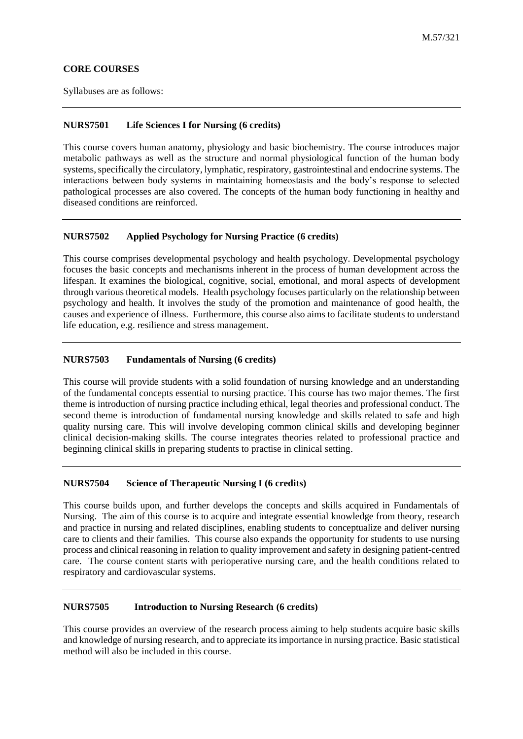# **CORE COURSES**

Syllabuses are as follows:

# **NURS7501 Life Sciences I for Nursing (6 credits)**

This course covers human anatomy, physiology and basic biochemistry. The course introduces major metabolic pathways as well as the structure and normal physiological function of the human body systems, specifically the circulatory, lymphatic, respiratory, gastrointestinal and endocrine systems. The interactions between body systems in maintaining homeostasis and the body's response to selected pathological processes are also covered. The concepts of the human body functioning in healthy and diseased conditions are reinforced.

# **NURS7502 Applied Psychology for Nursing Practice (6 credits)**

This course comprises developmental psychology and health psychology. Developmental psychology focuses the basic concepts and mechanisms inherent in the process of human development across the lifespan. It examines the biological, cognitive, social, emotional, and moral aspects of development through various theoretical models. Health psychology focuses particularly on the relationship between psychology and health. It involves the study of the promotion and maintenance of good health, the causes and experience of illness. Furthermore, this course also aims to facilitate students to understand life education, e.g. resilience and stress management.

# **NURS7503 Fundamentals of Nursing (6 credits)**

This course will provide students with a solid foundation of nursing knowledge and an understanding of the fundamental concepts essential to nursing practice. This course has two major themes. The first theme is introduction of nursing practice including ethical, legal theories and professional conduct. The second theme is introduction of fundamental nursing knowledge and skills related to safe and high quality nursing care. This will involve developing common clinical skills and developing beginner clinical decision-making skills. The course integrates theories related to professional practice and beginning clinical skills in preparing students to practise in clinical setting.

## **NURS7504 Science of Therapeutic Nursing I (6 credits)**

This course builds upon, and further develops the concepts and skills acquired in Fundamentals of Nursing. The aim of this course is to acquire and integrate essential knowledge from theory, research and practice in nursing and related disciplines, enabling students to conceptualize and deliver nursing care to clients and their families. This course also expands the opportunity for students to use nursing process and clinical reasoning in relation to quality improvement and safety in designing patient-centred care. The course content starts with perioperative nursing care, and the health conditions related to respiratory and cardiovascular systems.

## **NURS7505 Introduction to Nursing Research (6 credits)**

This course provides an overview of the research process aiming to help students acquire basic skills and knowledge of nursing research, and to appreciate its importance in nursing practice. Basic statistical method will also be included in this course.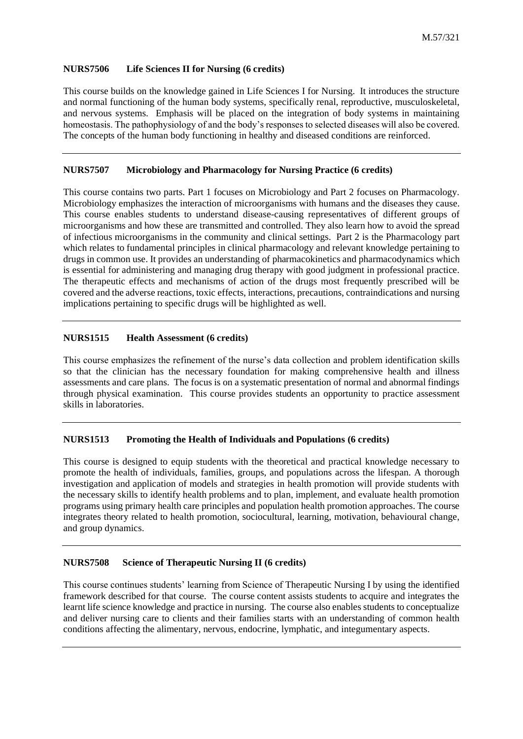# **NURS7506 Life Sciences II for Nursing (6 credits)**

This course builds on the knowledge gained in Life Sciences I for Nursing. It introduces the structure and normal functioning of the human body systems, specifically renal, reproductive, musculoskeletal, and nervous systems. Emphasis will be placed on the integration of body systems in maintaining homeostasis. The pathophysiology of and the body's responses to selected diseases will also be covered. The concepts of the human body functioning in healthy and diseased conditions are reinforced.

# **NURS7507 Microbiology and Pharmacology for Nursing Practice (6 credits)**

This course contains two parts. Part 1 focuses on Microbiology and Part 2 focuses on Pharmacology. Microbiology emphasizes the interaction of microorganisms with humans and the diseases they cause. This course enables students to understand disease-causing representatives of different groups of microorganisms and how these are transmitted and controlled. They also learn how to avoid the spread of infectious microorganisms in the community and clinical settings. Part 2 is the Pharmacology part which relates to fundamental principles in clinical pharmacology and relevant knowledge pertaining to drugs in common use. It provides an understanding of pharmacokinetics and pharmacodynamics which is essential for administering and managing drug therapy with good judgment in professional practice. The therapeutic effects and mechanisms of action of the drugs most frequently prescribed will be covered and the adverse reactions, toxic effects, interactions, precautions, contraindications and nursing implications pertaining to specific drugs will be highlighted as well.

# **NURS1515 Health Assessment (6 credits)**

This course emphasizes the refinement of the nurse's data collection and problem identification skills so that the clinician has the necessary foundation for making comprehensive health and illness assessments and care plans. The focus is on a systematic presentation of normal and abnormal findings through physical examination. This course provides students an opportunity to practice assessment skills in laboratories.

## **NURS1513 Promoting the Health of Individuals and Populations (6 credits)**

This course is designed to equip students with the theoretical and practical knowledge necessary to promote the health of individuals, families, groups, and populations across the lifespan. A thorough investigation and application of models and strategies in health promotion will provide students with the necessary skills to identify health problems and to plan, implement, and evaluate health promotion programs using primary health care principles and population health promotion approaches. The course integrates theory related to health promotion, sociocultural, learning, motivation, behavioural change, and group dynamics.

## **NURS7508 Science of Therapeutic Nursing II (6 credits)**

This course continues students' learning from Science of Therapeutic Nursing I by using the identified framework described for that course. The course content assists students to acquire and integrates the learnt life science knowledge and practice in nursing. The course also enables students to conceptualize and deliver nursing care to clients and their families starts with an understanding of common health conditions affecting the alimentary, nervous, endocrine, lymphatic, and integumentary aspects.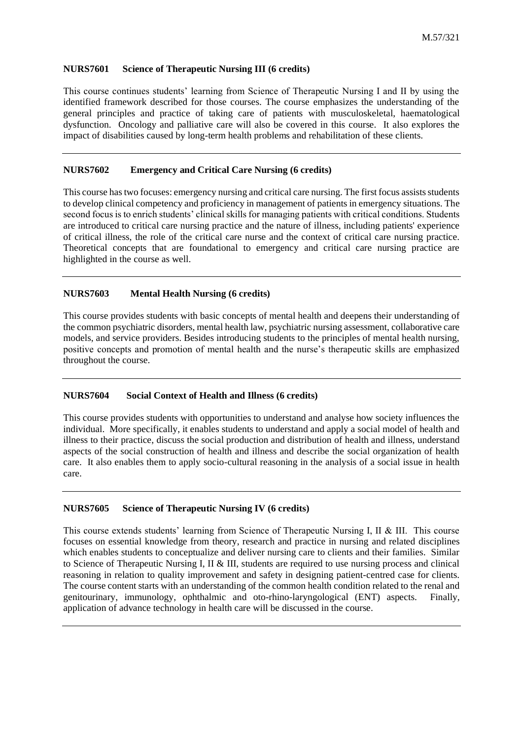#### **NURS7601 Science of Therapeutic Nursing III (6 credits)**

This course continues students' learning from Science of Therapeutic Nursing I and II by using the identified framework described for those courses. The course emphasizes the understanding of the general principles and practice of taking care of patients with musculoskeletal, haematological dysfunction. Oncology and palliative care will also be covered in this course. It also explores the impact of disabilities caused by long-term health problems and rehabilitation of these clients.

#### **NURS7602 Emergency and Critical Care Nursing (6 credits)**

This course has two focuses: emergency nursing and critical care nursing. The first focus assists students to develop clinical competency and proficiency in management of patients in emergency situations. The second focus is to enrich students' clinical skills for managing patients with critical conditions. Students are introduced to critical care nursing practice and the nature of illness, including patients' experience of critical illness, the role of the critical care nurse and the context of critical care nursing practice. Theoretical concepts that are foundational to emergency and critical care nursing practice are highlighted in the course as well.

### **NURS7603 Mental Health Nursing (6 credits)**

This course provides students with basic concepts of mental health and deepens their understanding of the common psychiatric disorders, mental health law, psychiatric nursing assessment, collaborative care models, and service providers. Besides introducing students to the principles of mental health nursing, positive concepts and promotion of mental health and the nurse's therapeutic skills are emphasized throughout the course.

#### **NURS7604 Social Context of Health and Illness (6 credits)**

This course provides students with opportunities to understand and analyse how society influences the individual. More specifically, it enables students to understand and apply a social model of health and illness to their practice, discuss the social production and distribution of health and illness, understand aspects of the social construction of health and illness and describe the social organization of health care. It also enables them to apply socio-cultural reasoning in the analysis of a social issue in health care.

## **NURS7605 Science of Therapeutic Nursing IV (6 credits)**

This course extends students' learning from Science of Therapeutic Nursing I, II & III. This course focuses on essential knowledge from theory, research and practice in nursing and related disciplines which enables students to conceptualize and deliver nursing care to clients and their families. Similar to Science of Therapeutic Nursing I, II & III, students are required to use nursing process and clinical reasoning in relation to quality improvement and safety in designing patient-centred case for clients. The course content starts with an understanding of the common health condition related to the renal and genitourinary, immunology, ophthalmic and oto-rhino-laryngological (ENT) aspects. Finally, application of advance technology in health care will be discussed in the course.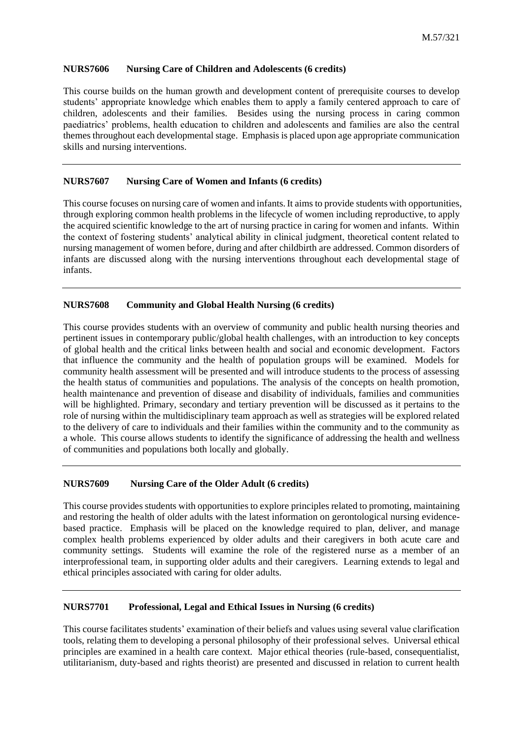#### **NURS7606 Nursing Care of Children and Adolescents (6 credits)**

This course builds on the human growth and development content of prerequisite courses to develop students' appropriate knowledge which enables them to apply a family centered approach to care of children, adolescents and their families. Besides using the nursing process in caring common paediatrics' problems, health education to children and adolescents and families are also the central themes throughout each developmental stage. Emphasis is placed upon age appropriate communication skills and nursing interventions.

## **NURS7607 Nursing Care of Women and Infants (6 credits)**

This course focuses on nursing care of women and infants. It aims to provide students with opportunities, through exploring common health problems in the lifecycle of women including reproductive, to apply the acquired scientific knowledge to the art of nursing practice in caring for women and infants. Within the context of fostering students' analytical ability in clinical judgment, theoretical content related to nursing management of women before, during and after childbirth are addressed. Common disorders of infants are discussed along with the nursing interventions throughout each developmental stage of infants.

## **NURS7608 Community and Global Health Nursing (6 credits)**

This course provides students with an overview of community and public health nursing theories and pertinent issues in contemporary public/global health challenges, with an introduction to key concepts of global health and the critical links between health and social and economic development. Factors that influence the community and the health of population groups will be examined. Models for community health assessment will be presented and will introduce students to the process of assessing the health status of communities and populations. The analysis of the concepts on health promotion, health maintenance and prevention of disease and disability of individuals, families and communities will be highlighted. Primary, secondary and tertiary prevention will be discussed as it pertains to the role of nursing within the multidisciplinary team approach as well as strategies will be explored related to the delivery of care to individuals and their families within the community and to the community as a whole. This course allows students to identify the significance of addressing the health and wellness of communities and populations both locally and globally.

#### **NURS7609 Nursing Care of the Older Adult (6 credits)**

This course provides students with opportunities to explore principles related to promoting, maintaining and restoring the health of older adults with the latest information on gerontological nursing evidencebased practice. Emphasis will be placed on the knowledge required to plan, deliver, and manage complex health problems experienced by older adults and their caregivers in both acute care and community settings. Students will examine the role of the registered nurse as a member of an interprofessional team, in supporting older adults and their caregivers. Learning extends to legal and ethical principles associated with caring for older adults.

## **NURS7701 Professional, Legal and Ethical Issues in Nursing (6 credits)**

This course facilitates students' examination of their beliefs and values using several value clarification tools, relating them to developing a personal philosophy of their professional selves. Universal ethical principles are examined in a health care context. Major ethical theories (rule-based, consequentialist, utilitarianism, duty-based and rights theorist) are presented and discussed in relation to current health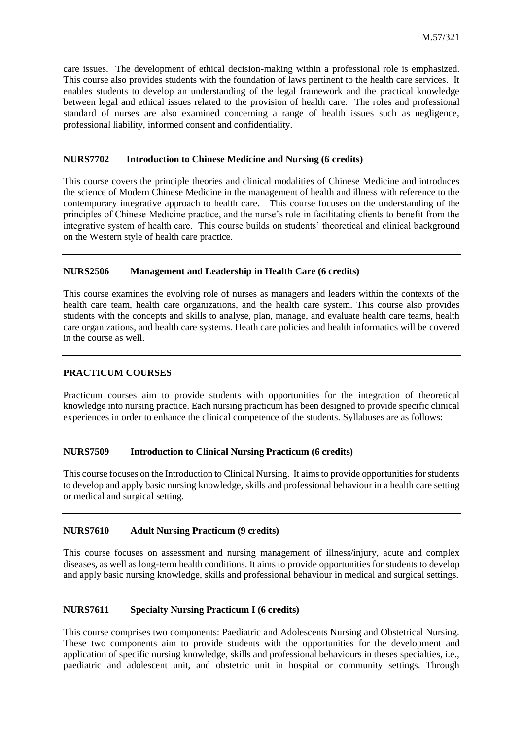care issues. The development of ethical decision-making within a professional role is emphasized. This course also provides students with the foundation of laws pertinent to the health care services. It enables students to develop an understanding of the legal framework and the practical knowledge between legal and ethical issues related to the provision of health care. The roles and professional standard of nurses are also examined concerning a range of health issues such as negligence, professional liability, informed consent and confidentiality.

## **NURS7702 Introduction to Chinese Medicine and Nursing (6 credits)**

This course covers the principle theories and clinical modalities of Chinese Medicine and introduces the science of Modern Chinese Medicine in the management of health and illness with reference to the contemporary integrative approach to health care. This course focuses on the understanding of the principles of Chinese Medicine practice, and the nurse's role in facilitating clients to benefit from the integrative system of health care. This course builds on students' theoretical and clinical background on the Western style of health care practice.

#### **NURS2506 Management and Leadership in Health Care (6 credits)**

This course examines the evolving role of nurses as managers and leaders within the contexts of the health care team, health care organizations, and the health care system. This course also provides students with the concepts and skills to analyse, plan, manage, and evaluate health care teams, health care organizations, and health care systems. Heath care policies and health informatics will be covered in the course as well.

# **PRACTICUM COURSES**

Practicum courses aim to provide students with opportunities for the integration of theoretical knowledge into nursing practice. Each nursing practicum has been designed to provide specific clinical experiences in order to enhance the clinical competence of the students. Syllabuses are as follows:

## **NURS7509 Introduction to Clinical Nursing Practicum (6 credits)**

This course focuses on the Introduction to Clinical Nursing. It aims to provide opportunities for students to develop and apply basic nursing knowledge, skills and professional behaviour in a health care setting or medical and surgical setting.

#### **NURS7610 Adult Nursing Practicum (9 credits)**

This course focuses on assessment and nursing management of illness/injury, acute and complex diseases, as well as long-term health conditions. It aims to provide opportunities for students to develop and apply basic nursing knowledge, skills and professional behaviour in medical and surgical settings.

#### **NURS7611 Specialty Nursing Practicum I (6 credits)**

This course comprises two components: Paediatric and Adolescents Nursing and Obstetrical Nursing. These two components aim to provide students with the opportunities for the development and application of specific nursing knowledge, skills and professional behaviours in theses specialties, i.e., paediatric and adolescent unit, and obstetric unit in hospital or community settings. Through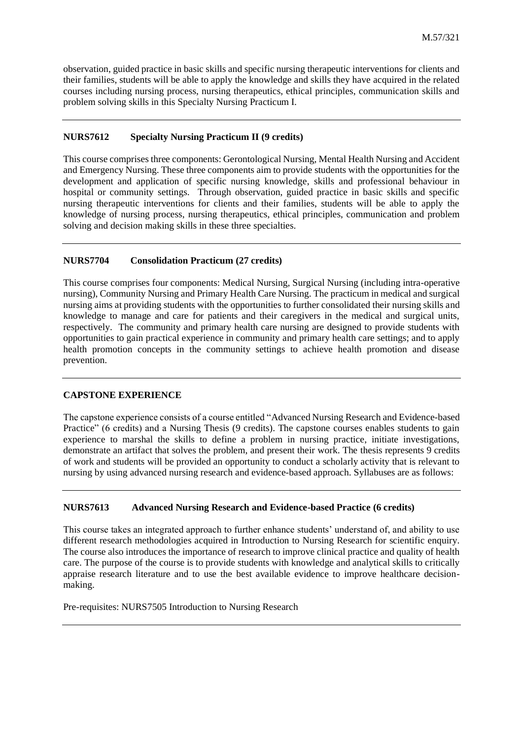observation, guided practice in basic skills and specific nursing therapeutic interventions for clients and their families, students will be able to apply the knowledge and skills they have acquired in the related courses including nursing process, nursing therapeutics, ethical principles, communication skills and problem solving skills in this Specialty Nursing Practicum I.

# **NURS7612 Specialty Nursing Practicum II (9 credits)**

This course comprises three components: Gerontological Nursing, Mental Health Nursing and Accident and Emergency Nursing. These three components aim to provide students with the opportunities for the development and application of specific nursing knowledge, skills and professional behaviour in hospital or community settings. Through observation, guided practice in basic skills and specific nursing therapeutic interventions for clients and their families, students will be able to apply the knowledge of nursing process, nursing therapeutics, ethical principles, communication and problem solving and decision making skills in these three specialties.

# **NURS7704 Consolidation Practicum (27 credits)**

This course comprises four components: Medical Nursing, Surgical Nursing (including intra-operative nursing), Community Nursing and Primary Health Care Nursing. The practicum in medical and surgical nursing aims at providing students with the opportunities to further consolidated their nursing skills and knowledge to manage and care for patients and their caregivers in the medical and surgical units, respectively. The community and primary health care nursing are designed to provide students with opportunities to gain practical experience in community and primary health care settings; and to apply health promotion concepts in the community settings to achieve health promotion and disease prevention.

## **CAPSTONE EXPERIENCE**

The capstone experience consists of a course entitled "Advanced Nursing Research and Evidence-based Practice" (6 credits) and a Nursing Thesis (9 credits). The capstone courses enables students to gain experience to marshal the skills to define a problem in nursing practice, initiate investigations, demonstrate an artifact that solves the problem, and present their work. The thesis represents 9 credits of work and students will be provided an opportunity to conduct a scholarly activity that is relevant to nursing by using advanced nursing research and evidence-based approach. Syllabuses are as follows:

## **NURS7613 Advanced Nursing Research and Evidence-based Practice (6 credits)**

This course takes an integrated approach to further enhance students' understand of, and ability to use different research methodologies acquired in Introduction to Nursing Research for scientific enquiry. The course also introduces the importance of research to improve clinical practice and quality of health care. The purpose of the course is to provide students with knowledge and analytical skills to critically appraise research literature and to use the best available evidence to improve healthcare decisionmaking.

Pre-requisites: NURS7505 Introduction to Nursing Research